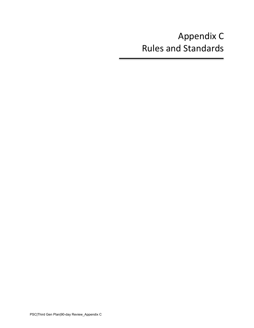# Appendix C Rules and Standards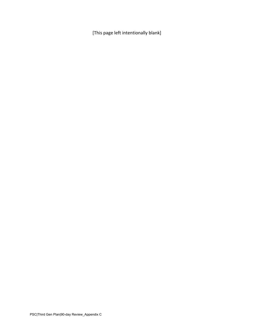[This page left intentionally blank]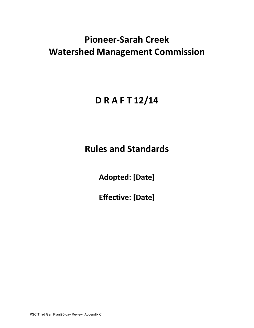# **Pioneer-Sarah Creek Watershed Management Commission**

## **D R A F T 12/14**

## **Rules and Standards**

**Adopted: [Date]** 

**Effective: [Date]**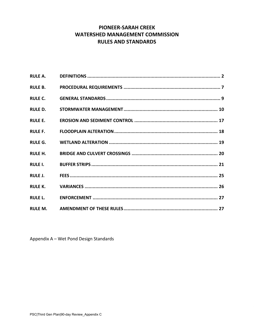## **PIONEER-SARAH CREEK WATERSHED MANAGEMENT COMMISSION RULES AND STANDARDS**

Appendix A - Wet Pond Design Standards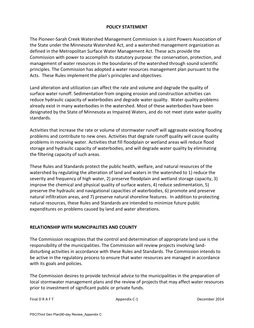#### **POLICY STATEMENT**

The Pioneer-Sarah Creek Watershed Management Commission is a Joint Powers Association of the State under the Minnesota Watershed Act, and a watershed management organization as defined in the Metropolitan Surface Water Management Act. These acts provide the Commission with power to accomplish its statutory purpose: the conservation, protection, and management of water resources in the boundaries of the watershed through sound scientific principles. The Commission has adopted a water resources management plan pursuant to the Acts. These Rules implement the plan's principles and objectives.

Land alteration and utilization can affect the rate and volume and degrade the quality of surface water runoff. Sedimentation from ongoing erosion and construction activities can reduce hydraulic capacity of waterbodies and degrade water quality. Water quality problems already exist in many waterbodies in the watershed. Most of these waterbodies have been designated by the State of Minnesota as Impaired Waters, and do not meet state water quality standards.

Activities that increase the rate or volume of stormwater runoff will aggravate existing flooding problems and contribute to new ones. Activities that degrade runoff quality will cause quality problems in receiving water. Activities that fill floodplain or wetland areas will reduce flood storage and hydraulic capacity of waterbodies, and will degrade water quality by eliminating the filtering capacity of such areas.

These Rules and Standards protect the public health, welfare, and natural resources of the watershed by regulating the alteration of land and waters in the watershed to 1) reduce the severity and frequency of high water, 2) preserve floodplain and wetland storage capacity, 3) improve the chemical and physical quality of surface waters, 4) reduce sedimentation, 5) preserve the hydraulic and navigational capacities of waterbodies, 6) promote and preserve natural infiltration areas, and 7) preserve natural shoreline features. In addition to protecting natural resources, these Rules and Standards are intended to minimize future public expenditures on problems caused by land and water alterations.

#### **RELATIONSHIP WITH MUNICIPALITIES AND COUNTY**

The Commission recognizes that the control and determination of appropriate land use is the responsibility of the municipalities. The Commission will review projects involving landdisturbing activities in accordance with these Rules and Standards. The Commission intends to be active in the regulatory process to ensure that water resources are managed in accordance with its goals and policies.

The Commission desires to provide technical advice to the municipalities in the preparation of local stormwater management plans and the review of projects that may affect water resources prior to investment of significant public or private funds.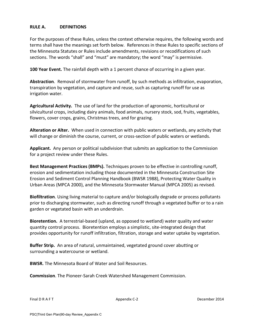#### <span id="page-5-0"></span>**RULE A. DEFINITIONS**

For the purposes of these Rules, unless the context otherwise requires, the following words and terms shall have the meanings set forth below. References in these Rules to specific sections of the Minnesota Statutes or Rules include amendments, revisions or recodifications of such sections. The words "shall" and "must" are mandatory; the word "may" is permissive.

**100 Year Event.** The rainfall depth with a 1 percent chance of occurring in a given year.

**Abstraction**. Removal of stormwater from runoff, by such methods as infiltration, evaporation, transpiration by vegetation, and capture and reuse, such as capturing runoff for use as irrigation water.

**Agricultural Activity.** The use of land for the production of agronomic, horticultural or silvicultural crops, including dairy animals, food animals, nursery stock, sod, fruits, vegetables, flowers, cover crops, grains, Christmas trees, and for grazing.

**Alteration or Alter.** When used in connection with public waters or wetlands, any activity that will change or diminish the course, current, or cross-section of public waters or wetlands.

**Applicant.** Any person or political subdivision that submits an application to the Commission for a project review under these Rules.

**Best Management Practices (BMPs).** Techniques proven to be effective in controlling runoff, erosion and sedimentation including those documented in the Minnesota Construction Site Erosion and Sediment Control Planning Handbook (BWSR 1988), Protecting Water Quality in Urban Areas (MPCA 2000), and the Minnesota Stormwater Manual (MPCA 2005) as revised.

**Biofiltration**. Using living material to capture and/or biologically degrade or process pollutants prior to discharging stormwater, such as directing runoff through a vegetated buffer or to a rain garden or vegetated basin with an underdrain.

**Bioretention.** A terrestrial-based (upland, as opposed to wetland) water quality and water quantity control process. Bioretention employs a simplistic, site-integrated design that provides opportunity for runoff infiltration, filtration, storage and water uptake by vegetation.

**Buffer Strip.** An area of natural, unmaintained, vegetated ground cover abutting or surrounding a watercourse or wetland.

**BWSR.** The Minnesota Board of Water and Soil Resources.

**Commission**. The Pioneer-Sarah Creek Watershed Management Commission.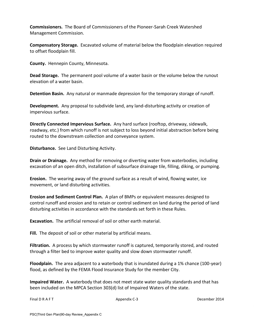**Commissioners.** The Board of Commissioners of the Pioneer-Sarah Creek Watershed Management Commission.

**Compensatory Storage.** Excavated volume of material below the floodplain elevation required to offset floodplain fill.

**County.** Hennepin County, Minnesota.

**Dead Storage.** The permanent pool volume of a water basin or the volume below the runout elevation of a water basin.

**Detention Basin.** Any natural or manmade depression for the temporary storage of runoff.

**Development.** Any proposal to subdivide land, any land-disturbing activity or creation of impervious surface.

**Directly Connected Impervious Surface.** Any hard surface (rooftop, driveway, sidewalk, roadway, etc.) from which runoff is not subject to loss beyond initial abstraction before being routed to the downstream collection and conveyance system.

**Disturbance.** See Land Disturbing Activity.

**Drain or Drainage.** Any method for removing or diverting water from waterbodies, including excavation of an open ditch, installation of subsurface drainage tile, filling, diking, or pumping.

**Erosion.** The wearing away of the ground surface as a result of wind, flowing water, ice movement, or land disturbing activities.

**Erosion and Sediment Control Plan.** A plan of BMPs or equivalent measures designed to control runoff and erosion and to retain or control sediment on land during the period of land disturbing activities in accordance with the standards set forth in these Rules.

**Excavation.** The artificial removal of soil or other earth material.

**Fill.** The deposit of soil or other material by artificial means.

**Filtration.** A process by which stormwater runoff is captured, temporarily stored, and routed through a filter bed to improve water quality and slow down stormwater runoff.

**Floodplain.** The area adjacent to a waterbody that is inundated during a 1% chance (100-year) flood, as defined by the FEMA Flood Insurance Study for the member City.

**Impaired Water.** A waterbody that does not meet state water quality standards and that has been included on the MPCA Section 303(d) list of Impaired Waters of the state.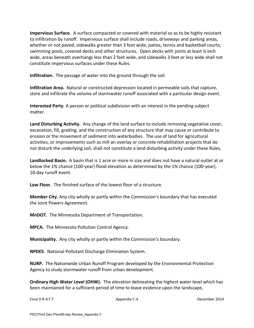**Impervious Surface.** A surface compacted or covered with material so as to be highly resistant to infiltration by runoff. Impervious surface shall include roads, driveways and parking areas, whether or not paved, sidewalks greater than 3 feet wide, patios, tennis and basketball courts, swimming pools, covered decks and other structures. Open decks with joints at least % inch wide, areas beneath overhangs less than 2 feet wide, and sidewalks 3 feet or less wide shall not constitute impervious surfaces under these Rules.

**Infiltration.** The passage of water into the ground through the soil.

**Infiltration Area.** Natural or constructed depression located in permeable soils that capture, store and infiltrate the volume of stormwater runoff associated with a particular design event.

**Interested Party**. A person or political subdivision with an interest in the pending subject matter.

**Land Disturbing Activity.** Any change of the land surface to include removing vegetative cover, excavation, fill, grading, and the construction of any structure that may cause or contribute to erosion or the movement of sediment into waterbodies. The use of land for agricultural activities, or improvements such as mill an overlay or concrete rehabilitation projects that do not disturb the underlying soil, shall not constitute a land disturbing activity under these Rules.

**Landlocked Basin.** A basin that is 1 acre or more in size and does not have a natural outlet at or below the 1% chance (100-year) flood elevation as determined by the 1% chance (100-year), 10-day runoff event.

**Low Floor.** The finished surface of the lowest floor of a structure.

**Member City.** Any city wholly or partly within the Commission's boundary that has executed the Joint Powers Agreement.

**MnDOT.** The Minnesota Department of Transportation.

**MPCA.** The Minnesota Pollution Control Agency.

**Municipality.** Any city wholly or partly within the Commission's boundary.

**NPDES**. National Pollutant Discharge Elimination System.

**NURP.** The Nationwide Urban Runoff Program developed by the Environmental Protection Agency to study stormwater runoff from urban development.

**Ordinary High Water Level (OHW).** The elevation delineating the highest water level which has been maintained for a sufficient period of time to leave evidence upon the landscape,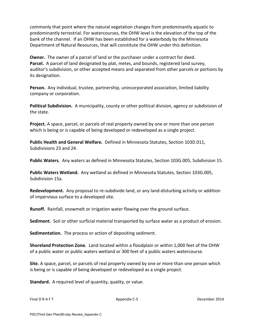commonly that point where the natural vegetation changes from predominantly aquatic to predominantly terrestrial. For watercourses, the OHW level is the elevation of the top of the bank of the channel. If an OHW has been established for a waterbody by the Minnesota Department of Natural Resources, that will constitute the OHW under this definition.

**Owner.** The owner of a parcel of land or the purchaser under a contract for deed. **Parcel.** A parcel of land designated by plat, metes, and bounds, registered land survey, auditor's subdivision, or other accepted means and separated from other parcels or portions by its designation.

**Person.** Any individual, trustee, partnership, unincorporated association, limited liability company or corporation.

**Political Subdivision.** A municipality, county or other political division, agency or subdivision of the state.

**Project.** A space, parcel, or parcels of real property owned by one or more than one person which is being or is capable of being developed or redeveloped as a single project.

**Public Health and General Welfare.** Defined in Minnesota Statutes, Section 103D.011, Subdivisions 23 and 24.

**Public Waters.** Any waters as defined in Minnesota Statutes, Section 103G.005, Subdivision 15.

**Public Waters Wetland.** Any wetland as defined in Minnesota Statutes, Section 103G.005, Subdivision 15a.

**Redevelopment.** Any proposal to re-subdivide land, or any land-disturbing activity or addition of impervious surface to a developed site.

**Runoff.** Rainfall, snowmelt or irrigation water flowing over the ground surface.

**Sediment.** Soil or other surficial material transported by surface water as a product of erosion.

**Sedimentation.** The process or action of depositing sediment.

**Shoreland Protection Zone.** Land located within a floodplain or within 1,000 feet of the OHW of a public water or public waters wetland or 300 feet of a public waters watercourse.

**Site.** A space, parcel, or parcels of real property owned by one or more than one person which is being or is capable of being developed or redeveloped as a single project.

**Standard.** A required level of quantity, quality, or value.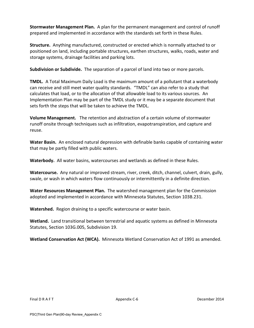**Stormwater Management Plan.** A plan for the permanent management and control of runoff prepared and implemented in accordance with the standards set forth in these Rules.

**Structure.** Anything manufactured, constructed or erected which is normally attached to or positioned on land, including portable structures, earthen structures, walks, roads, water and storage systems, drainage facilities and parking lots.

**Subdivision or Subdivide.** The separation of a parcel of land into two or more parcels.

**TMDL.** A Total Maximum Daily Load is the maximum amount of a pollutant that a waterbody can receive and still meet water quality standards. "TMDL" can also refer to a study that calculates that load, or to the allocation of that allowable load to its various sources. An Implementation Plan may be part of the TMDL study or it may be a separate document that sets forth the steps that will be taken to achieve the TMDL.

**Volume Management.** The retention and abstraction of a certain volume of stormwater runoff onsite through techniques such as infiltration, evapotranspiration, and capture and reuse.

**Water Basin.** An enclosed natural depression with definable banks capable of containing water that may be partly filled with public waters.

**Waterbody.** All water basins, watercourses and wetlands as defined in these Rules.

**Watercourse.** Any natural or improved stream, river, creek, ditch, channel, culvert, drain, gully, swale, or wash in which waters flow continuously or intermittently in a definite direction.

**Water Resources Management Plan.** The watershed management plan for the Commission adopted and implemented in accordance with Minnesota Statutes, Section 103B.231.

**Watershed.** Region draining to a specific watercourse or water basin.

**Wetland.** Land transitional between terrestrial and aquatic systems as defined in Minnesota Statutes, Section 103G.005, Subdivision 19.

**Wetland Conservation Act (WCA).** Minnesota Wetland Conservation Act of 1991 as amended.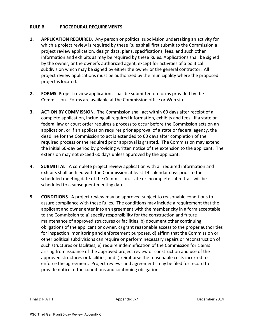#### <span id="page-10-0"></span>**RULE B. PROCEDURAL REQUIREMENTS**

- **1. APPLICATION REQUIRED**. Any person or political subdivision undertaking an activity for which a project review is required by these Rules shall first submit to the Commission a project review application, design data, plans, specifications, fees, and such other information and exhibits as may be required by these Rules. Applications shall be signed by the owner, or the owner's authorized agent, except for activities of a political subdivision which may be signed by either the owner or the general contractor. All project review applications must be authorized by the municipality where the proposed project is located.
- **2. FORMS**. Project review applications shall be submitted on forms provided by the Commission. Forms are available at the Commission office or Web site.
- **3. ACTION BY COMMISSION**. The Commission shall act within 60 days after receipt of a complete application, including all required information, exhibits and fees. If a state or federal law or court order requires a process to occur before the Commission acts on an application, or if an application requires prior approval of a state or federal agency, the deadline for the Commission to act is extended to 60 days after completion of the required process or the required prior approval is granted. The Commission may extend the initial 60-day period by providing written notice of the extension to the applicant. The extension may not exceed 60 days unless approved by the applicant.
- **4. SUBMITTAL**. A complete project review application with all required information and exhibits shall be filed with the Commission at least 14 calendar days prior to the scheduled meeting date of the Commission. Late or incomplete submittals will be scheduled to a subsequent meeting date.
- **5. CONDITIONS**. A project review may be approved subject to reasonable conditions to assure compliance with these Rules. The conditions may include a requirement that the applicant and owner enter into an agreement with the member city in a form acceptable to the Commission to a) specify responsibility for the construction and future maintenance of approved structures or facilities, b) document other continuing obligations of the applicant or owner, c) grant reasonable access to the proper authorities for inspection, monitoring and enforcement purposes, d) affirm that the Commission or other political subdivisions can require or perform necessary repairs or reconstruction of such structures or facilities, e) require indemnification of the Commission for claims arising from issuance of the approved project review or construction and use of the approved structures or facilities, and f) reimburse the reasonable costs incurred to enforce the agreement. Project reviews and agreements may be filed for record to provide notice of the conditions and continuing obligations.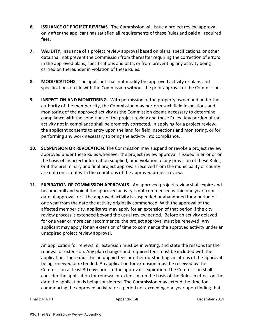- **6. ISSUANCE OF PROJECT REVIEWS**. The Commission will issue a project review approval only after the applicant has satisfied all requirements of these Rules and paid all required fees.
- **7. VALIDITY**. Issuance of a project review approval based on plans, specifications, or other data shall not prevent the Commission from thereafter requiring the correction of errors in the approved plans, specifications and data, or from preventing any activity being carried on thereunder in violation of these Rules.
- **8. MODIFICATIONS**. The applicant shall not modify the approved activity or plans and specifications on file with the Commission without the prior approval of the Commission.
- **9. INSPECTION AND MONITORING**. With permission of the property owner and under the authority of the member city, the Commission may perform such field inspections and monitoring of the approved activity as the Commission deems necessary to determine compliance with the conditions of the project review and these Rules. Any portion of the activity not in compliance shall be promptly corrected. In applying for a project review, the applicant consents to entry upon the land for field inspections and monitoring, or for performing any work necessary to bring the activity into compliance.
- **10. SUSPENSION OR REVOCATION**. The Commission may suspend or revoke a project review approved under these Rules whenever the project review approval is issued in error or on the basis of incorrect information supplied, or in violation of any provision of these Rules, or if the preliminary and final project approvals received from the municipality or county are not consistent with the conditions of the approved project review.
- **11. EXPIRATION OF COMMISSION APPROVALS.** An approved project review shall expire and become null and void if the approved activity is not commenced within one year from date of approval, or if the approved activity is suspended or abandoned for a period of one year from the date the activity originally commenced. With the approval of the affected member city, applicants may apply for an extension of that period if the city review process is extended beyond the usual review period. Before an activity delayed for one year or more can recommence, the project approval must be renewed. Any applicant may apply for an extension of time to commence the approved activity under an unexpired project review approval.

An application for renewal or extension must be in writing, and state the reasons for the renewal or extension. Any plan changes and required fees must be included with the application. There must be no unpaid fees or other outstanding violations of the approval being renewed or extended. An application for extension must be received by the Commission at least 30 days prior to the approval's expiration. The Commission shall consider the application for renewal or extension on the basis of the Rules in effect on the date the application is being considered. The Commission may extend the time for commencing the approved activity for a period not exceeding one year upon finding that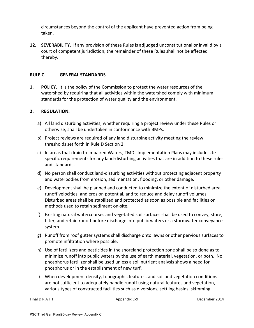circumstances beyond the control of the applicant have prevented action from being taken.

**12. SEVERABILITY**. If any provision of these Rules is adjudged unconstitutional or invalid by a court of competent jurisdiction, the remainder of these Rules shall not be affected thereby.

#### <span id="page-12-0"></span>**RULE C. GENERAL STANDARDS**

**1. POLICY**. It is the policy of the Commission to protect the water resources of the watershed by requiring that all activities within the watershed comply with minimum standards for the protection of water quality and the environment.

#### **2. REGULATION.**

- a) All land disturbing activities, whether requiring a project review under these Rules or otherwise, shall be undertaken in conformance with BMPs.
- b) Project reviews are required of any land disturbing activity meeting the review thresholds set forth in Rule D Section 2.
- c) In areas that drain to Impaired Waters, TMDL Implementation Plans may include sitespecific requirements for any land-disturbing activities that are in addition to these rules and standards.
- d) No person shall conduct land-disturbing activities without protecting adjacent property and waterbodies from erosion, sedimentation, flooding, or other damage.
- e) Development shall be planned and conducted to minimize the extent of disturbed area, runoff velocities, and erosion potential, and to reduce and delay runoff volumes. Disturbed areas shall be stabilized and protected as soon as possible and facilities or methods used to retain sediment on-site.
- f) Existing natural watercourses and vegetated soil surfaces shall be used to convey, store, filter, and retain runoff before discharge into public waters or a stormwater conveyance system.
- g) Runoff from roof gutter systems shall discharge onto lawns or other pervious surfaces to promote infiltration where possible.
- h) Use of fertilizers and pesticides in the shoreland protection zone shall be so done as to minimize runoff into public waters by the use of earth material, vegetation, or both. No phosphorus fertilizer shall be used unless a soil nutrient analysis shows a need for phosphorus or in the establishment of new turf.
- i) When development density, topographic features, and soil and vegetation conditions are not sufficient to adequately handle runoff using natural features and vegetation, various types of constructed facilities such as diversions, settling basins, skimming

Final D R A F T THE R Appendix C-9 The December 2014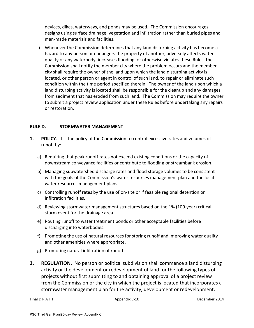devices, dikes, waterways, and ponds may be used. The Commission encourages designs using surface drainage, vegetation and infiltration rather than buried pipes and man-made materials and facilities.

j) Whenever the Commission determines that any land disturbing activity has become a hazard to any person or endangers the property of another, adversely affects water quality or any waterbody, increases flooding, or otherwise violates these Rules, the Commission shall notify the member city where the problem occurs and the member city shall require the owner of the land upon which the land disturbing activity is located, or other person or agent in control of such land, to repair or eliminate such condition within the time period specified therein. The owner of the land upon which a land disturbing activity is located shall be responsible for the cleanup and any damages from sediment that has eroded from such land. The Commission may require the owner to submit a project review application under these Rules before undertaking any repairs or restoration.

#### <span id="page-13-0"></span>**RULE D. STORMWATER MANAGEMENT**

- **1. POLICY**. It is the policy of the Commission to control excessive rates and volumes of runoff by:
	- a) Requiring that peak runoff rates not exceed existing conditions or the capacity of downstream conveyance facilities or contribute to flooding or streambank erosion.
	- b) Managing subwatershed discharge rates and flood storage volumes to be consistent with the goals of the Commission's water resources management plan and the local water resources management plans.
	- c) Controlling runoff rates by the use of on-site or if feasible regional detention or infiltration facilities.
	- d) Reviewing stormwater management structures based on the 1% (100-year) critical storm event for the drainage area.
	- e) Routing runoff to water treatment ponds or other acceptable facilities before discharging into waterbodies.
	- f) Promoting the use of natural resources for storing runoff and improving water quality and other amenities where appropriate.
	- g) Promoting natural infiltration of runoff.
- **2. REGULATION**. No person or political subdivision shall commence a land disturbing activity or the development or redevelopment of land for the following types of projects without first submitting to and obtaining approval of a project review from the Commission or the city in which the project is located that incorporates a stormwater management plan for the activity, development or redevelopment: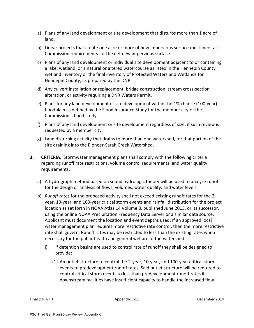- a) Plans of any land development or site development that disturbs more than 1 acre of land.
- b) Linear projects that create one acre or more of new impervious surface must meet all Commission requirements for the net new impervious surface.
- c) Plans of any land development or individual site development adjacent to or containing a lake, wetland, or a natural or altered watercourse as listed in the Hennepin County wetland inventory or the final inventory of Protected Waters and Wetlands for Hennepin County, as prepared by the DNR.
- d) Any culvert installation or replacement, bridge construction, stream cross-section alteration, or activity requiring a DNR Waters Permit.
- e) Plans for any land development or site development within the 1% chance (100-year) floodplain as defined by the Flood Insurance Study for the member city or the Commission's flood study.
- f) Plans of any land development or site development regardless of size, if such review is requested by a member city.
- g) Land disturbing activity that drains to more than one watershed, for that portion of the site draining into the Pioneer-Sarah Creek Watershed.
- **3. CRITERIA**. Stormwater management plans shall comply with the following criteria regarding runoff rate restrictions, volume control requirements, and water quality requirements.
	- a) A hydrograph method based on sound hydrologic theory will be used to analyze runoff for the design or analysis of flows, volumes, water quality, and water levels.
	- b) *Runoff rates* for the proposed activity shall not exceed existing runoff rates for the 2 year, 10-year, and 100-year critical storm events and rainfall distribution for the project location as set forth in NOAA Atlas 14 Volume 8, published June 2013, or its successor, using the online NOAA Precipitation Frequency Data Server or a similar data source. Applicant must document the location and event depths used. If an approved local water management plan requires more restrictive rate control, then the more restrictive rate shall govern. Runoff rates may be restricted to less than the existing rates when necessary for the public health and general welfare of the watershed.
		- i) If detention basins are used to control rate of runoff they shall be designed to provide:
			- (1) An outlet structure to control the 2-year, 10-year, and 100-year critical storm events to predevelopment runoff rates. Said outlet structure will be required to control critical storm events to less than predevelopment runoff rates if downstream facilities have insufficient capacity to handle the increased flow.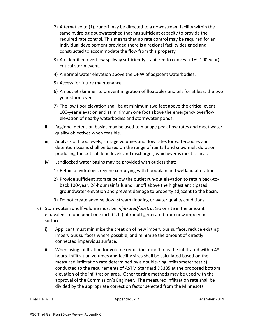- (2) Alternative to (1), runoff may be directed to a downstream facility within the same hydrologic subwatershed that has sufficient capacity to provide the required rate control. This means that no rate control may be required for an individual development provided there is a regional facility designed and constructed to accommodate the flow from this property.
- (3) An identified overflow spillway sufficiently stabilized to convey a 1% (100-year) critical storm event.
- (4) A normal water elevation above the OHW of adjacent waterbodies.
- (5) Access for future maintenance.
- (6) An outlet skimmer to prevent migration of floatables and oils for at least the two year storm event.
- (7) The low floor elevation shall be at minimum two feet above the critical event 100-year elevation and at minimum one foot above the emergency overflow elevation of nearby waterbodies and stormwater ponds.
- ii) Regional detention basins may be used to manage peak flow rates and meet water quality objectives when feasible.
- iii) Analysis of flood levels, storage volumes and flow rates for waterbodies and detention basins shall be based on the range of rainfall and snow melt duration producing the critical flood levels and discharges, whichever is most critical.
- iv) Landlocked water basins may be provided with outlets that:
	- (1) Retain a hydrologic regime complying with floodplain and wetland alterations.
	- (2) Provide sufficient storage below the outlet run-out elevation to retain back-toback 100-year, 24-hour rainfalls and runoff above the highest anticipated groundwater elevation and prevent damage to property adjacent to the basin.
	- (3) Do not create adverse downstream flooding or water quality conditions.
- c) Stormwater runoff volume must be *infiltrated/abstracted* onsite in the amount equivalent to one point one inch (1.1") of runoff generated from new impervious surface.
	- i) Applicant must minimize the creation of new impervious surface, reduce existing impervious surfaces where possible, and minimize the amount of directly connected impervious surface.
	- ii) When using infiltration for volume reduction, runoff must be infiltrated within 48 hours. Infiltration volumes and facility sizes shall be calculated based on the measured infiltration rate determined by a double-ring infiltrometer test(s) conducted to the requirements of ASTM Standard D3385 at the proposed bottom elevation of the infiltration area. Other testing methods may be used with the approval of the Commission's Engineer. The measured infiltration rate shall be divided by the appropriate correction factor selected from the Minnesota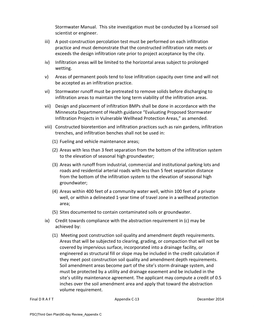Stormwater Manual. This site investigation must be conducted by a licensed soil scientist or engineer.

- iii) A post-construction percolation test must be performed on each infiltration practice and must demonstrate that the constructed infiltration rate meets or exceeds the design infiltration rate prior to project acceptance by the city.
- iv) Infiltration areas will be limited to the horizontal areas subject to prolonged wetting.
- v) Areas of permanent pools tend to lose infiltration capacity over time and will not be accepted as an infiltration practice.
- vi) Stormwater runoff must be pretreated to remove solids before discharging to infiltration areas to maintain the long term viability of the infiltration areas.
- vii) Design and placement of infiltration BMPs shall be done in accordance with the Minnesota Department of Health guidance "Evaluating Proposed Stormwater Infiltration Projects in Vulnerable Wellhead Protection Areas," as amended.
- viii) Constructed bioretention and infiltration practices such as rain gardens, infiltration trenches, and infiltration benches shall not be used in:
	- (1) Fueling and vehicle maintenance areas;
	- (2) Areas with less than 3 feet separation from the bottom of the infiltration system to the elevation of seasonal high groundwater;
	- (3) Areas with runoff from industrial, commercial and institutional parking lots and roads and residential arterial roads with less than 5 feet separation distance from the bottom of the infiltration system to the elevation of seasonal high groundwater;
	- (4) Areas within 400 feet of a community water well, within 100 feet of a private well, or within a delineated 1-year time of travel zone in a wellhead protection area;
	- (5) Sites documented to contain contaminated soils or groundwater.
- ix) Credit towards compliance with the abstraction requirement in (c) may be achieved by:
	- (1) Meeting post construction soil quality and amendment depth requirements. Areas that will be subjected to clearing, grading, or compaction that will not be covered by impervious surface, incorporated into a drainage facility, or engineered as structural fill or slope may be included in the credit calculation if they meet post construction soil quality and amendment depth requirements. Soil amendment areas become part of the site's storm drainage system, and must be protected by a utility and drainage easement and be included in the site's utility maintenance agreement. The applicant may compute a credit of 0.5 inches over the soil amendment area and apply that toward the abstraction volume requirement.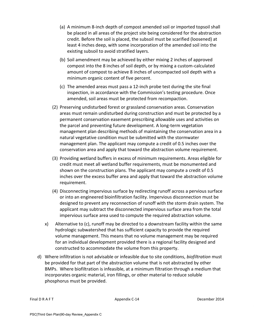- (a) A minimum 8-inch depth of compost amended soil or imported topsoil shall be placed in all areas of the project site being considered for the abstraction credit. Before the soil is placed, the subsoil must be scarified (loosened) at least 4 inches deep, with some incorporation of the amended soil into the existing subsoil to avoid stratified layers.
- (b) Soil amendment may be achieved by either mixing 2 inches of approved compost into the 8 inches of soil depth, or by mixing a custom-calculated amount of compost to achieve 8 inches of uncompacted soil depth with a minimum organic content of five percent.
- (c) The amended areas must pass a 12-inch probe test during the site final inspection, in accordance with the Commission's testing procedure. Once amended, soil areas must be protected from recompaction.
- (2) Preserving undisturbed forest or grassland conservation areas. Conservation areas must remain undisturbed during construction and must be protected by a permanent conservation easement prescribing allowable uses and activities on the parcel and preventing future development. A long-term vegetation management plan describing methods of maintaining the conservation area in a natural vegetative condition must be submitted with the stormwater management plan. The applicant may compute a credit of 0.5 inches over the conservation area and apply that toward the abstraction volume requirement.
- (3) Providing wetland buffers in excess of minimum requirements. Areas eligible for credit must meet all wetland buffer requirements, must be monumented and shown on the construction plans. The applicant may compute a credit of 0.5 inches over the excess buffer area and apply that toward the abstraction volume requirement.
- (4) Disconnecting impervious surface by redirecting runoff across a pervious surface or into an engineered bioinfiltration facility. Impervious disconnection must be designed to prevent any reconnection of runoff with the storm drain system. The applicant may subtract the disconnected impervious surface area from the total impervious surface area used to compute the required abstraction volume.
- x) Alternative to (c), runoff may be directed to a downstream facility within the same hydrologic subwatershed that has sufficient capacity to provide the required volume management. This means that no volume management may be required for an individual development provided there is a regional facility designed and constructed to accommodate the volume from this property.
- d) Where infiltration is not advisable or infeasible due to site conditions, *biofiltration* must be provided for that part of the abstraction volume that is not abstracted by other BMPs. Where biofiltration is infeasible, at a minimum filtration through a medium that incorporates organic material, iron fillings, or other material to reduce soluble phosphorus must be provided.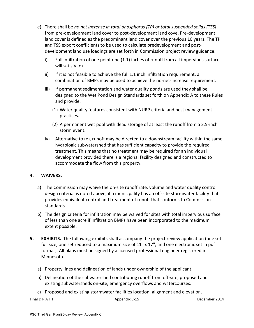- e) There shall be *no net increase in total phosphorus (TP) or total suspended solids (TSS)* from pre-development land cover to post-development land cove. Pre-development land cover is defined as the predominant land cover over the previous 10 years. The TP and TSS export coefficients to be used to calculate predevelopment and postdevelopment land use loadings are set forth in Commission project review guidance.
	- i) Full infiltration of one point one (1.1) inches of runoff from all impervious surface will satisfy (e).
	- ii) If it is not feasible to achieve the full 1.1 inch infiltration requirement, a combination of BMPs may be used to achieve the no-net-increase requirement.
	- iii) If permanent sedimentation and water quality ponds are used they shall be designed to the Wet Pond Design Standards set forth on Appendix A to these Rules and provide:
		- (1) Water quality features consistent with NURP criteria and best management practices.
		- (2) A permanent wet pool with dead storage of at least the runoff from a 2.5-inch storm event.
	- iv) Alternative to (e), runoff may be directed to a downstream facility within the same hydrologic subwatershed that has sufficient capacity to provide the required treatment. This means that no treatment may be required for an individual development provided there is a regional facility designed and constructed to accommodate the flow from this property.

## **4. WAIVERS.**

- a) The Commission may waive the on-site runoff rate, volume and water quality control design criteria as noted above, if a municipality has an off-site stormwater facility that provides equivalent control and treatment of runoff that conforms to Commission standards.
- b) The design criteria for infiltration may be waived for sites with total impervious surface of less than one acre if infiltration BMPs have been incorporated to the maximum extent possible.
- **5. EXHIBITS.** The following exhibits shall accompany the project review application (one set full size, one set reduced to a maximum size of 11" x 17", and one electronic set in pdf format). All plans must be signed by a licensed professional engineer registered in Minnesota.
	- a) Property lines and delineation of lands under ownership of the applicant.
	- b) Delineation of the subwatershed contributing runoff from off-site, proposed and existing subwatersheds on-site, emergency overflows and watercourses.
	- c) Proposed and existing stormwater facilities location, alignment and elevation.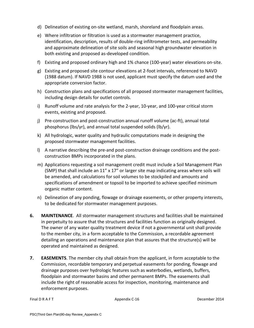- d) Delineation of existing on-site wetland, marsh, shoreland and floodplain areas.
- e) Where infiltration or filtration is used as a stormwater management practice, identification, description, results of double-ring infiltrometer tests, and permeability and approximate delineation of site soils and seasonal high groundwater elevation in both existing and proposed as-developed condition.
- f) Existing and proposed ordinary high and 1% chance (100-year) water elevations on-site.
- g) Existing and proposed site contour elevations at 2-foot intervals, referenced to NAVD (1988 datum). If NAVD 1988 is not used, applicant must specify the datum used and the appropriate conversion factor.
- h) Construction plans and specifications of all proposed stormwater management facilities, including design details for outlet controls.
- i) Runoff volume and rate analysis for the 2-year, 10-year, and 100-year critical storm events, existing and proposed.
- j) Pre-construction and post-construction annual runoff volume (ac-ft), annual total phosphorus (lbs/yr), and annual total suspended solids (lb/yr).
- k) All hydrologic, water quality and hydraulic computations made in designing the proposed stormwater management facilities.
- l) A narrative describing the pre-and post-construction drainage conditions and the postconstruction BMPs incorporated in the plans.
- m) Applications requesting a soil management credit must include a Soil Management Plan (SMP) that shall include an 11" x 17" or larger site map indicating areas where soils will be amended, and calculations for soil volumes to be stockpiled and amounts and specifications of amendment or topsoil to be imported to achieve specified minimum organic matter content.
- n) Delineation of any ponding, flowage or drainage easements, or other property interests, to be dedicated for stormwater management purposes.
- **6. MAINTENANCE**. All stormwater management structures and facilities shall be maintained in perpetuity to assure that the structures and facilities function as originally designed. The owner of any water quality treatment device if not a governmental unit shall provide to the member city, in a form acceptable to the Commission, a recordable agreement detailing an operations and maintenance plan that assures that the structure(s) will be operated and maintained as designed.
- **7. EASEMENTS**. The member city shall obtain from the applicant, in form acceptable to the Commission, recordable temporary and perpetual easements for ponding, flowage and drainage purposes over hydrologic features such as waterbodies, wetlands, buffers, floodplain and stormwater basins and other permanent BMPs. The easements shall include the right of reasonable access for inspection, monitoring, maintenance and enforcement purposes.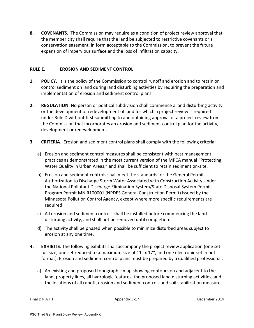**8. COVENANTS**. The Commission may require as a condition of project review approval that the member city shall require that the land be subjected to restrictive covenants or a conservation easement, in form acceptable to the Commission, to prevent the future expansion of impervious surface and the loss of infiltration capacity.

#### <span id="page-20-0"></span>**RULE E. EROSION AND SEDIMENT CONTROL**

- **1. POLICY**. It is the policy of the Commission to control runoff and erosion and to retain or control sediment on land during land disturbing activities by requiring the preparation and implementation of erosion and sediment control plans.
- **2. REGULATION**. No person or political subdivision shall commence a land disturbing activity or the development or redevelopment of land for which a project review is required under Rule D without first submitting to and obtaining approval of a project review from the Commission that incorporates an erosion and sediment control plan for the activity, development or redevelopment.
- **3. CRITERIA**. Erosion and sediment control plans shall comply with the following criteria:
	- a) Erosion and sediment control measures shall be consistent with best management practices as demonstrated in the most current version of the MPCA manual "Protecting Water Quality in Urban Areas," and shall be sufficient to retain sediment on-site.
	- b) Erosion and sediment controls shall meet the standards for the General Permit Authorization to Discharge Storm Water Associated with Construction Activity Under the National Pollutant Discharge Elimination System/State Disposal System Permit Program Permit MN R100001 (NPDES General Construction Permit) issued by the Minnesota Pollution Control Agency, except where more specific requirements are required.
	- c) All erosion and sediment controls shall be installed before commencing the land disturbing activity, and shall not be removed until completion.
	- d) The activity shall be phased when possible to minimize disturbed areas subject to erosion at any one time.
- **4. EXHIBITS**. The following exhibits shall accompany the project review application (one set full size, one set reduced to a maximum size of 11" x 17", and one electronic set in pdf format). Erosion and sediment control plans must be prepared by a qualified professional.
	- a) An existing and proposed topographic map showing contours on and adjacent to the land, property lines, all hydrologic features, the proposed land disturbing activities, and the locations of all runoff, erosion and sediment controls and soil stabilization measures.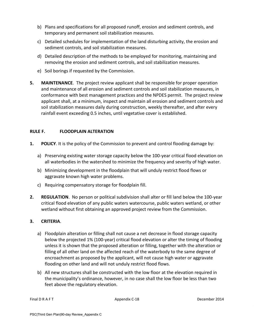- b) Plans and specifications for all proposed runoff, erosion and sediment controls, and temporary and permanent soil stabilization measures.
- c) Detailed schedules for implementation of the land disturbing activity, the erosion and sediment controls, and soil stabilization measures.
- d) Detailed description of the methods to be employed for monitoring, maintaining and removing the erosion and sediment controls, and soil stabilization measures.
- e) Soil borings if requested by the Commission.
- **5. MAINTENANCE**. The project review applicant shall be responsible for proper operation and maintenance of all erosion and sediment controls and soil stabilization measures, in conformance with best management practices and the NPDES permit. The project review applicant shall, at a minimum, inspect and maintain all erosion and sediment controls and soil stabilization measures daily during construction, weekly thereafter, and after every rainfall event exceeding 0.5 inches, until vegetative cover is established.

## <span id="page-21-0"></span>**RULE F. FLOODPLAIN ALTERATION**

- **1. POLICY**. It is the policy of the Commission to prevent and control flooding damage by:
	- a) Preserving existing water storage capacity below the 100-year critical flood elevation on all waterbodies in the watershed to minimize the frequency and severity of high water.
	- b) Minimizing development in the floodplain that will unduly restrict flood flows or aggravate known high water problems.
	- c) Requiring compensatory storage for floodplain fill.
- **2. REGULATION**. No person or political subdivision shall alter or fill land below the 100-year critical flood elevation of any public waters watercourse, public waters wetland, or other wetland without first obtaining an approved project review from the Commission.

## **3. CRITERIA**.

- a) Floodplain alteration or filling shall not cause a net decrease in flood storage capacity below the projected 1% (100-year) critical flood elevation or alter the timing of flooding unless it is shown that the proposed alteration or filling, together with the alteration or filling of all other land on the affected reach of the waterbody to the same degree of encroachment as proposed by the applicant, will not cause high water or aggravate flooding on other land and will not unduly restrict flood flows.
- b) All new structures shall be constructed with the low floor at the elevation required in the municipality's ordinance, however, in no case shall the low floor be less than two feet above the regulatory elevation.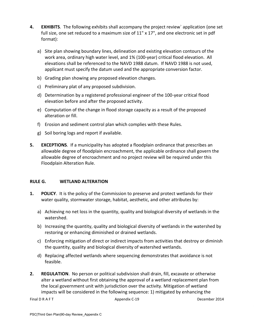- **4. EXHIBITS**. The following exhibits shall accompany the project review` application (one set full size, one set reduced to a maximum size of 11" x 17", and one electronic set in pdf format):
	- a) Site plan showing boundary lines, delineation and existing elevation contours of the work area, ordinary high water level, and 1% (100-year) critical flood elevation. All elevations shall be referenced to the NAVD 1988 datum. If NAVD 1988 is not used, applicant must specify the datum used and the appropriate conversion factor.
	- b) Grading plan showing any proposed elevation changes.
	- c) Preliminary plat of any proposed subdivision.
	- d) Determination by a registered professional engineer of the 100-year critical flood elevation before and after the proposed activity.
	- e) Computation of the change in flood storage capacity as a result of the proposed alteration or fill.
	- f) Erosion and sediment control plan which complies with these Rules.
	- g) Soil boring logs and report if available.
- **5. EXCEPTIONS**. If a municipality has adopted a floodplain ordinance that prescribes an allowable degree of floodplain encroachment, the applicable ordinance shall govern the allowable degree of encroachment and no project review will be required under this Floodplain Alteration Rule.

## <span id="page-22-0"></span>**RULE G. WETLAND ALTERATION**

- **1. POLICY**. It is the policy of the Commission to preserve and protect wetlands for their water quality, stormwater storage, habitat, aesthetic, and other attributes by:
	- a) Achieving no net loss in the quantity, quality and biological diversity of wetlands in the watershed.
	- b) Increasing the quantity, quality and biological diversity of wetlands in the watershed by restoring or enhancing diminished or drained wetlands.
	- c) Enforcing mitigation of direct or indirect impacts from activities that destroy or diminish the quantity, quality and biological diversity of watershed wetlands.
	- d) Replacing affected wetlands where sequencing demonstrates that avoidance is not feasible.
- **2. REGULATION**. No person or political subdivision shall drain, fill, excavate or otherwise alter a wetland without first obtaining the approval of a wetland replacement plan from the local government unit with jurisdiction over the activity. Mitigation of wetland impacts will be considered in the following sequence: 1) mitigated by enhancing the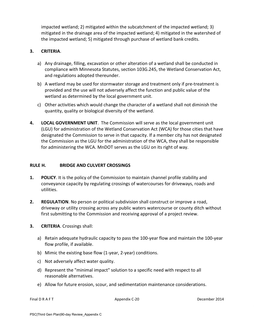impacted wetland; 2) mitigated within the subcatchment of the impacted wetland; 3) mitigated in the drainage area of the impacted wetland; 4) mitigated in the watershed of the impacted wetland; 5) mitigated through purchase of wetland bank credits.

## **3. CRITERIA**.

- a) Any drainage, filling, excavation or other alteration of a wetland shall be conducted in compliance with Minnesota Statutes, section 103G.245, the Wetland Conservation Act, and regulations adopted thereunder.
- b) A wetland may be used for stormwater storage and treatment only if pre-treatment is provided and the use will not adversely affect the function and public value of the wetland as determined by the local government unit.
- c) Other activities which would change the character of a wetland shall not diminish the quantity, quality or biological diversity of the wetland.
- **4. LOCAL GOVERNMENT UNIT**. The Commission will serve as the local government unit (LGU) for administration of the Wetland Conservation Act (WCA) for those cities that have designated the Commission to serve in that capacity. If a member city has not designated the Commission as the LGU for the administration of the WCA, they shall be responsible for administering the WCA. MnDOT serves as the LGU on its right of way.

## <span id="page-23-0"></span>**RULE H. BRIDGE AND CULVERT CROSSINGS**

- **1. POLICY**. It is the policy of the Commission to maintain channel profile stability and conveyance capacity by regulating crossings of watercourses for driveways, roads and utilities.
- **2. REGULATION**. No person or political subdivision shall construct or improve a road, driveway or utility crossing across any public waters watercourse or county ditch without first submitting to the Commission and receiving approval of a project review.
- **3. CRITERIA**. Crossings shall:
	- a) Retain adequate hydraulic capacity to pass the 100-year flow and maintain the 100-year flow profile, if available.
	- b) Mimic the existing base flow (1-year, 2-year) conditions.
	- c) Not adversely affect water quality.
	- d) Represent the "minimal impact" solution to a specific need with respect to all reasonable alternatives.
	- e) Allow for future erosion, scour, and sedimentation maintenance considerations.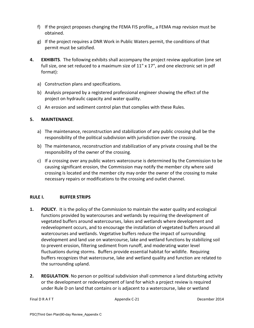- f) If the project proposes changing the FEMA FIS profile,, a FEMA map revision must be obtained.
- g) If the project requires a DNR Work in Public Waters permit, the conditions of that permit must be satisfied.
- **4. EXHIBITS**. The following exhibits shall accompany the project review application (one set full size, one set reduced to a maximum size of 11" x 17", and one electronic set in pdf format):
	- a) Construction plans and specifications.
	- b) Analysis prepared by a registered professional engineer showing the effect of the project on hydraulic capacity and water quality.
	- c) An erosion and sediment control plan that complies with these Rules.

## **5. MAINTENANCE**.

- a) The maintenance, reconstruction and stabilization of any public crossing shall be the responsibility of the political subdivision with jurisdiction over the crossing.
- b) The maintenance, reconstruction and stabilization of any private crossing shall be the responsibility of the owner of the crossing.
- c) If a crossing over any public waters watercourse is determined by the Commission to be causing significant erosion, the Commission may notify the member city where said crossing is located and the member city may order the owner of the crossing to make necessary repairs or modifications to the crossing and outlet channel.

## <span id="page-24-0"></span>**RULE I. BUFFER STRIPS**

- **1. POLICY**. It is the policy of the Commission to maintain the water quality and ecological functions provided by watercourses and wetlands by requiring the development of vegetated buffers around watercourses, lakes and wetlands where development and redevelopment occurs, and to encourage the installation of vegetated buffers around all watercourses and wetlands. Vegetative buffers reduce the impact of surrounding development and land use on watercourse, lake and wetland functions by stabilizing soil to prevent erosion, filtering sediment from runoff, and moderating water level fluctuations during storms. Buffers provide essential habitat for wildlife. Requiring buffers recognizes that watercourse, lake and wetland quality and function are related to the surrounding upland.
- **2. REGULATION**. No person or political subdivision shall commence a land disturbing activity or the development or redevelopment of land for which a project review is required under Rule D on land that contains or is adjacent to a watercourse, lake or wetland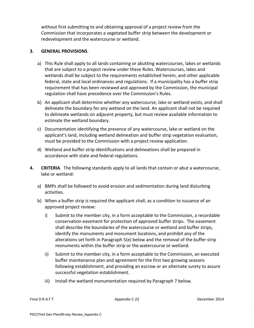without first submitting to and obtaining approval of a project review from the Commission that incorporates a vegetated buffer strip between the development or redevelopment and the watercourse or wetland.

#### **3. GENERAL PROVISIONS**.

- a) This Rule shall apply to all lands containing or abutting watercourses, lakes or wetlands that are subject to a project review under these Rules. Watercourses, lakes and wetlands shall be subject to the requirements established herein, and other applicable federal, state and local ordinances and regulations. If a municipality has a buffer strip requirement that has been reviewed and approved by the Commission, the municipal regulation shall have precedence over the Commission's Rules.
- b) An applicant shall determine whether any watercourse, lake or wetland exists, and shall delineate the boundary for any wetland on the land. An applicant shall not be required to delineate wetlands on adjacent property, but must review available information to estimate the wetland boundary.
- c) Documentation identifying the presence of any watercourse, lake or wetland on the applicant's land, including wetland delineation and buffer strip vegetation evaluation, must be provided to the Commission with a project review application.
- d) Wetland and buffer strip identifications and delineations shall be prepared in accordance with state and federal regulations.
- **4. CRITERIA**. The following standards apply to all lands that contain or abut a watercourse, lake or wetland:
	- a) BMPs shall be followed to avoid erosion and sedimentation during land disturbing activities.
	- b) When a buffer strip is required the applicant shall, as a condition to issuance of an approved project review:
		- i) Submit to the member city, in a form acceptable to the Commission, a recordable conservation easement for protection of approved buffer strips. The easement shall describe the boundaries of the watercourse or wetland and buffer strips, identify the monuments and monument locations, and prohibit any of the alterations set forth in Paragraph 5(e) below and the removal of the buffer strip monuments within the buffer strip or the watercourse or wetland.
		- ii) Submit to the member city, in a form acceptable to the Commission, an executed buffer maintenance plan and agreement for the first two growing seasons following establishment, and providing an escrow or an alternate surety to assure successful vegetation establishment.
		- iii) Install the wetland monumentation required by Paragraph 7 below.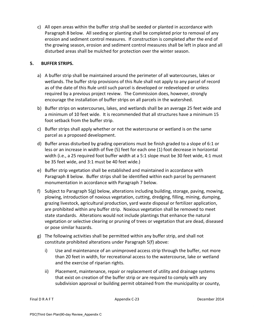c) All open areas within the buffer strip shall be seeded or planted in accordance with Paragraph 8 below. All seeding or planting shall be completed prior to removal of any erosion and sediment control measures. If construction is completed after the end of the growing season, erosion and sediment control measures shall be left in place and all disturbed areas shall be mulched for protection over the winter season.

#### **5. BUFFER STRIPS.**

- a) A buffer strip shall be maintained around the perimeter of all watercourses, lakes or wetlands. The buffer strip provisions of this Rule shall not apply to any parcel of record as of the date of this Rule until such parcel is developed or redeveloped or unless required by a previous project review. The Commission does, however, strongly encourage the installation of buffer strips on all parcels in the watershed.
- b) Buffer strips on watercourses, lakes, and wetlands shall be an average 25 feet wide and a minimum of 10 feet wide. It is recommended that all structures have a minimum 15 foot setback from the buffer strip.
- c) Buffer strips shall apply whether or not the watercourse or wetland is on the same parcel as a proposed development.
- d) Buffer areas disturbed by grading operations must be finish graded to a slope of 6:1 or less or an increase in width of five (5) feet for each one (1) foot decrease in horizontal width (i.e., a 25 required foot buffer width at a 5:1 slope must be 30 feet wide, 4:1 must be 35 feet wide, and 3:1 must be 40 feet wide.)
- e) Buffer strip vegetation shall be established and maintained in accordance with Paragraph 8 below. Buffer strips shall be identified within each parcel by permanent monumentation in accordance with Paragraph 7 below.
- f) Subject to Paragraph 5(g) below, alterations including building, storage, paving, mowing, plowing, introduction of noxious vegetation, cutting, dredging, filling, mining, dumping, grazing livestock, agricultural production, yard waste disposal or fertilizer application, are prohibited within any buffer strip. Noxious vegetation shall be removed to meet state standards. Alterations would not include plantings that enhance the natural vegetation or selective clearing or pruning of trees or vegetation that are dead, diseased or pose similar hazards.
- g) The following activities shall be permitted within any buffer strip, and shall not constitute prohibited alterations under Paragraph 5(f) above:
	- i) Use and maintenance of an unimproved access strip through the buffer, not more than 20 feet in width, for recreational access to the watercourse, lake or wetland and the exercise of riparian rights.
	- ii) Placement, maintenance, repair or replacement of utility and drainage systems that exist on creation of the buffer strip or are required to comply with any subdivision approval or building permit obtained from the municipality or county,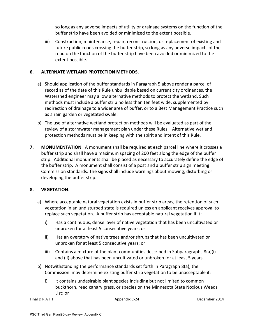so long as any adverse impacts of utility or drainage systems on the function of the buffer strip have been avoided or minimized to the extent possible.

iii) Construction, maintenance, repair, reconstruction, or replacement of existing and future public roads crossing the buffer strip, so long as any adverse impacts of the road on the function of the buffer strip have been avoided or minimized to the extent possible.

## **6. ALTERNATE WETLAND PROTECTION METHODS.**

- a) Should application of the buffer standards in Paragraph 5 above render a parcel of record as of the date of this Rule unbuildable based on current city ordinances, the Watershed engineer may allow alternative methods to protect the wetland. Such methods must include a buffer strip no less than ten feet wide, supplemented by redirection of drainage to a wider area of buffer, or to a Best Management Practice such as a rain garden or vegetated swale.
- b) The use of alternative wetland protection methods will be evaluated as part of the review of a stormwater management plan under these Rules. Alternative wetland protection methods must be in keeping with the spirit and intent of this Rule.
- **7. MONUMENTATION**. A monument shall be required at each parcel line where it crosses a buffer strip and shall have a maximum spacing of 200 feet along the edge of the buffer strip. Additional monuments shall be placed as necessary to accurately define the edge of the buffer strip. A monument shall consist of a post and a buffer strip sign meeting Commission standards. The signs shall include warnings about mowing, disturbing or developing the buffer strip.

## **8. VEGETATION**.

- a) Where acceptable natural vegetation exists in buffer strip areas, the retention of such vegetation in an undisturbed state is required unless an applicant receives approval to replace such vegetation. A buffer strip has acceptable natural vegetation if it:
	- i) Has a continuous, dense layer of native vegetation that has been uncultivated or unbroken for at least 5 consecutive years; or
	- ii) Has an overstory of native trees and/or shrubs that has been uncultivated or unbroken for at least 5 consecutive years; or
	- iii) Contains a mixture of the plant communities described in Subparagraphs  $8(a)(i)$ and (ii) above that has been uncultivated or unbroken for at least 5 years.
- b) Notwithstanding the performance standards set forth in Paragraph 8(a), the Commission may determine existing buffer strip vegetation to be unacceptable if:
	- i) It contains undesirable plant species including but not limited to common buckthorn, reed canary grass, or species on the Minnesota State Noxious Weeds List; or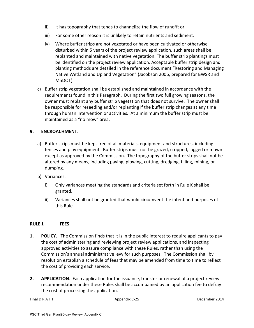- ii) It has topography that tends to channelize the flow of runoff; or
- iii) For some other reason it is unlikely to retain nutrients and sediment.
- iv) Where buffer strips are not vegetated or have been cultivated or otherwise disturbed within 5 years of the project review application, such areas shall be replanted and maintained with native vegetation. The buffer strip plantings must be identified on the project review application. Acceptable buffer strip design and planting methods are detailed in the reference document "Restoring and Managing Native Wetland and Upland Vegetation" (Jacobson 2006, prepared for BWSR and MnDOT).
- c) Buffer strip vegetation shall be established and maintained in accordance with the requirements found in this Paragraph. During the first two full growing seasons, the owner must replant any buffer strip vegetation that does not survive. The owner shall be responsible for reseeding and/or replanting if the buffer strip changes at any time through human intervention or activities. At a minimum the buffer strip must be maintained as a "no mow" area.

#### **9. ENCROACHMENT**.

- a) Buffer strips must be kept free of all materials, equipment and structures, including fences and play equipment. Buffer strips must not be grazed, cropped, logged or mown except as approved by the Commission. The topography of the buffer strips shall not be altered by any means, including paving, plowing, cutting, dredging, filling, mining, or dumping.
- b) Variances.
	- i) Only variances meeting the standards and criteria set forth in Rule K shall be granted.
	- ii) Variances shall not be granted that would circumvent the intent and purposes of this Rule.

#### <span id="page-28-0"></span>**RULE J. FEES**

- **1. POLICY**. The Commission finds that it is in the public interest to require applicants to pay the cost of administering and reviewing project review applications, and inspecting approved activities to assure compliance with these Rules, rather than using the Commission's annual administrative levy for such purposes. The Commission shall by resolution establish a schedule of fees that may be amended from time to time to reflect the cost of providing each service.
- **2. APPLICATION**. Each application for the issuance, transfer or renewal of a project review recommendation under these Rules shall be accompanied by an application fee to defray the cost of processing the application.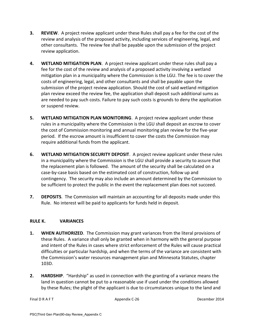- **3. REVIEW**. A project review applicant under these Rules shall pay a fee for the cost of the review and analysis of the proposed activity, including services of engineering, legal, and other consultants. The review fee shall be payable upon the submission of the project review application.
- **4. WETLAND MITIGATION PLAN**. A project review applicant under these rules shall pay a fee for the cost of the review and analysis of a proposed activity involving a wetland mitigation plan in a municipality where the Commission is the LGU. The fee is to cover the costs of engineering, legal, and other consultants and shall be payable upon the submission of the project review application. Should the cost of said wetland mitigation plan review exceed the review fee, the application shall deposit such additional sums as are needed to pay such costs. Failure to pay such costs is grounds to deny the application or suspend review.
- **5. WETLAND MITIGATION PLAN MONITORING**. A project review applicant under these rules in a municipality where the Commission is the LGU shall deposit an escrow to cover the cost of Commission monitoring and annual monitoring plan review for the five-year period. If the escrow amount is insufficient to cover the costs the Commission may require additional funds from the applicant.
- **6. WETLAND MITIGATION SECURITY DEPOSIT**. A project review applicant under these rules in a municipality where the Commission is the LGU shall provide a security to assure that the replacement plan is followed. The amount of the security shall be calculated on a case-by-case basis based on the estimated cost of construction, follow up and contingency. The security may also include an amount determined by the Commission to be sufficient to protect the public in the event the replacement plan does not succeed.
- **7. DEPOSITS**. The Commission will maintain an accounting for all deposits made under this Rule. No interest will be paid to applicants for funds held in deposit.

## <span id="page-29-0"></span>**RULE K. VARIANCES**

- **1. WHEN AUTHORIZED**. The Commission may grant variances from the literal provisions of these Rules. A variance shall only be granted when in harmony with the general purpose and intent of the Rules in cases where strict enforcement of the Rules will cause practical difficulties or particular hardship, and when the terms of the variance are consistent with the Commission's water resources management plan and Minnesota Statutes, chapter 103D.
- **2. HARDSHIP**. "Hardship" as used in connection with the granting of a variance means the land in question cannot be put to a reasonable use if used under the conditions allowed by these Rules; the plight of the applicant is due to circumstances unique to the land and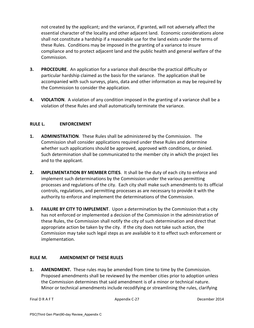not created by the applicant; and the variance, if granted, will not adversely affect the essential character of the locality and other adjacent land. Economic considerations alone shall not constitute a hardship if a reasonable use for the land exists under the terms of these Rules. Conditions may be imposed in the granting of a variance to insure compliance and to protect adjacent land and the public health and general welfare of the Commission.

- **3. PROCEDURE**. An application for a variance shall describe the practical difficulty or particular hardship claimed as the basis for the variance. The application shall be accompanied with such surveys, plans, data and other information as may be required by the Commission to consider the application.
- **4. VIOLATION**. A violation of any condition imposed in the granting of a variance shall be a violation of these Rules and shall automatically terminate the variance.

## <span id="page-30-0"></span>**RULE L. ENFORCEMENT**

- **1. ADMINISTRATION**. These Rules shall be administered by the Commission. The Commission shall consider applications required under these Rules and determine whether such applications should be approved, approved with conditions, or denied. Such determination shall be communicated to the member city in which the project lies and to the applicant.
- **2. IMPLEMENTATION BY MEMBER CITIES**. It shall be the duty of each city to enforce and implement such determinations by the Commission under the various permitting processes and regulations of the city. Each city shall make such amendments to its official controls, regulations, and permitting processes as are necessary to provide it with the authority to enforce and implement the determinations of the Commission.
- **3. FAILURE BY CITY TO IMPLEMENT**. Upon a determination by the Commission that a city has not enforced or implemented a decision of the Commission in the administration of these Rules, the Commission shall notify the city of such determination and direct that appropriate action be taken by the city. If the city does not take such action, the Commission may take such legal steps as are available to it to effect such enforcement or implementation.

#### <span id="page-30-1"></span>**RULE M. AMENDMENT OF THESE RULES**

**1. AMENDMENT.** These rules may be amended from time to time by the Commission. Proposed amendments shall be reviewed by the member cities prior to adoption unless the Commission determines that said amendment is of a minor or technical nature. Minor or technical amendments include recodifying or streamlining the rules, clarifying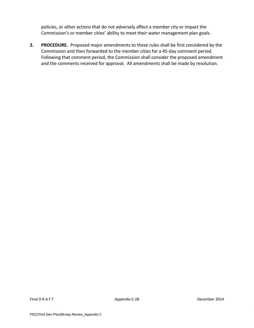policies, or other actions that do not adversely affect a member city or impact the Commission's or member cities' ability to meet their water management plan goals.

**2. PROCEDURE.** Proposed major amendments to these rules shall be first considered by the Commission and then forwarded to the member cities for a 45-day comment period. Following that comment period, the Commission shall consider the proposed amendment and the comments received for approval. All amendments shall be made by resolution.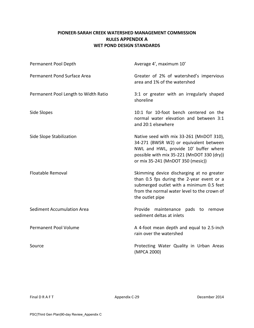## **PIONEER-SARAH CREEK WATERSHED MANAGEMENT COMMISSION RULES APPENDIX A WET POND DESIGN STANDARDS**

| Permanent Pool Depth                 | Average 4', maximum 10'                                                                                                                                                                                        |  |
|--------------------------------------|----------------------------------------------------------------------------------------------------------------------------------------------------------------------------------------------------------------|--|
| Permanent Pond Surface Area          | Greater of 2% of watershed's impervious<br>area and 1% of the watershed                                                                                                                                        |  |
| Permanent Pool Length to Width Ratio | 3:1 or greater with an irregularly shaped<br>shoreline                                                                                                                                                         |  |
| Side Slopes                          | 10:1 for 10-foot bench centered on the<br>normal water elevation and between 3:1<br>and 20:1 elsewhere                                                                                                         |  |
| Side Slope Stabilization             | Native seed with mix 33-261 (MnDOT 310),<br>34-271 (BWSR W2) or equivalent between<br>NWL and HWL, provide 10' buffer where<br>possible with mix 35-221 (MnDOT 330 (dry))<br>or mix 35-241 (MnDOT 350 (mesic)) |  |
| Floatable Removal                    | Skimming device discharging at no greater<br>than 0.5 fps during the 2-year event or a<br>submerged outlet with a minimum 0.5 feet<br>from the normal water level to the crown of<br>the outlet pipe           |  |
| <b>Sediment Accumulation Area</b>    | Provide maintenance<br>pads to remove<br>sediment deltas at inlets                                                                                                                                             |  |
| <b>Permanent Pool Volume</b>         | A 4-foot mean depth and equal to 2.5-inch<br>rain over the watershed                                                                                                                                           |  |
| Source                               | Protecting Water Quality in Urban Areas<br>(MPCA 2000)                                                                                                                                                         |  |